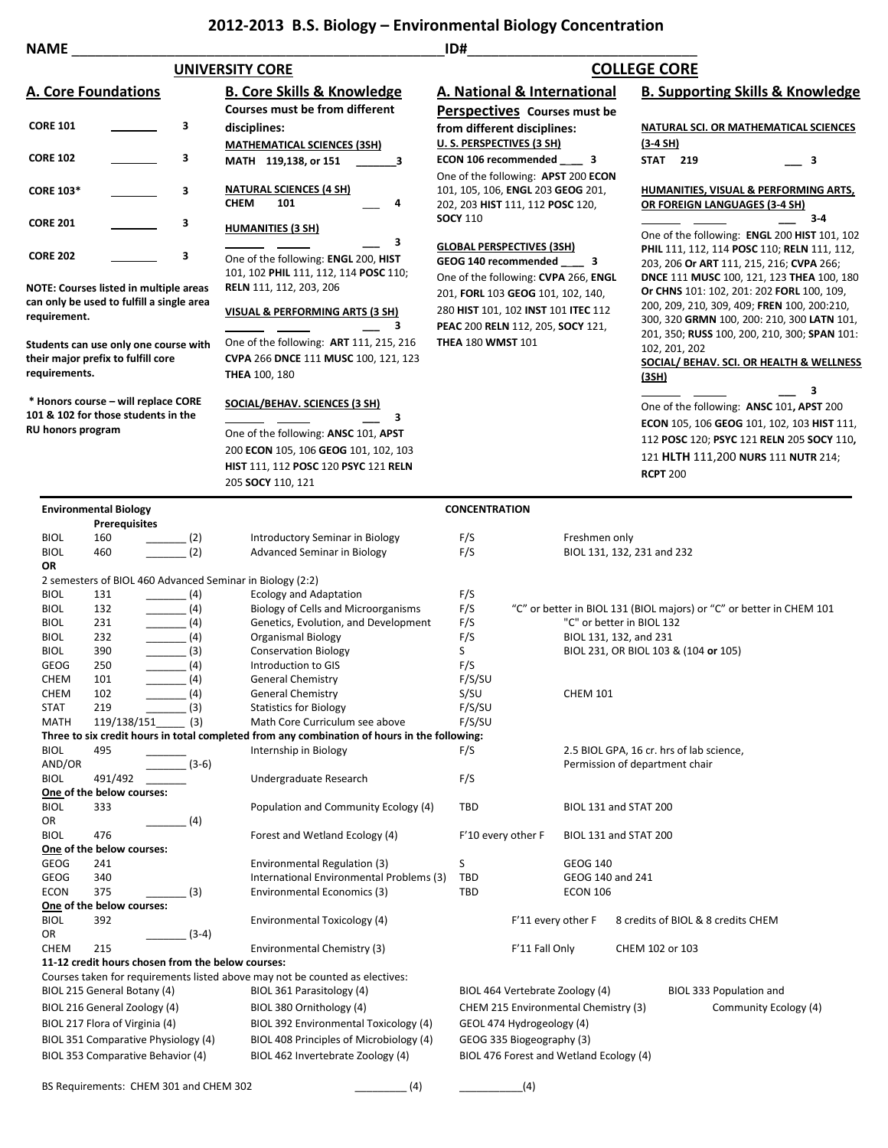## **2012-2013 B.S. Biology – Environmental Biology Concentration**

| <b>NAME</b>                         |                                  |                                                       |                                                                                              | ID#                                                                      |                                   |                                |                                             |                                                                                                                                                                                                                                                                                |                            |   |
|-------------------------------------|----------------------------------|-------------------------------------------------------|----------------------------------------------------------------------------------------------|--------------------------------------------------------------------------|-----------------------------------|--------------------------------|---------------------------------------------|--------------------------------------------------------------------------------------------------------------------------------------------------------------------------------------------------------------------------------------------------------------------------------|----------------------------|---|
|                                     |                                  |                                                       | <b>UNIVERSITY CORE</b>                                                                       |                                                                          |                                   |                                | <b>COLLEGE CORE</b>                         |                                                                                                                                                                                                                                                                                |                            |   |
| <b>A. Core Foundations</b>          |                                  |                                                       | <b>B. Core Skills &amp; Knowledge</b>                                                        | A. National & International                                              |                                   |                                | <b>B. Supporting Skills &amp; Knowledge</b> |                                                                                                                                                                                                                                                                                |                            |   |
|                                     |                                  |                                                       | <b>Courses must be from different</b>                                                        | Perspectives Courses must be                                             |                                   |                                |                                             |                                                                                                                                                                                                                                                                                |                            |   |
| <b>CORE 101</b>                     |                                  | 3                                                     | disciplines:                                                                                 | from different disciplines:                                              |                                   |                                |                                             | NATURAL SCI. OR MATHEMATICAL SCIENCES                                                                                                                                                                                                                                          |                            |   |
|                                     |                                  |                                                       | <b>MATHEMATICAL SCIENCES (3SH)</b>                                                           | U.S. PERSPECTIVES (3 SH)                                                 |                                   |                                | $(3-4 SH)$                                  |                                                                                                                                                                                                                                                                                |                            |   |
| <b>CORE 102</b>                     |                                  | з                                                     | MATH 119,138, or 151<br>3                                                                    | ECON 106 recommended 3                                                   |                                   |                                | <b>STAT 219</b>                             |                                                                                                                                                                                                                                                                                | $\overline{\phantom{a}}$ 3 |   |
|                                     |                                  |                                                       |                                                                                              | One of the following: APST 200 ECON                                      |                                   |                                |                                             |                                                                                                                                                                                                                                                                                |                            |   |
| <b>CORE 103*</b>                    |                                  | 3                                                     | <b>NATURAL SCIENCES (4 SH)</b>                                                               | 101, 105, 106, ENGL 203 GEOG 201,                                        |                                   |                                | HUMANITIES, VISUAL & PERFORMING ARTS,       |                                                                                                                                                                                                                                                                                |                            |   |
|                                     |                                  |                                                       | <b>CHEM</b><br>101<br>4                                                                      | 202, 203 HIST 111, 112 POSC 120,                                         |                                   |                                | OR FOREIGN LANGUAGES (3-4 SH)               |                                                                                                                                                                                                                                                                                |                            |   |
| <b>CORE 201</b>                     |                                  | з                                                     | <b>HUMANITIES (3 SH)</b>                                                                     | <b>SOCY 110</b>                                                          |                                   |                                |                                             | $3-4$                                                                                                                                                                                                                                                                          |                            |   |
|                                     |                                  |                                                       | з                                                                                            |                                                                          |                                   |                                |                                             | One of the following: ENGL 200 HIST 101, 102                                                                                                                                                                                                                                   |                            |   |
| <b>CORE 202</b>                     |                                  | 3                                                     | One of the following: ENGL 200, HIST                                                         | <b>GLOBAL PERSPECTIVES (3SH)</b><br>GEOG 140 recommended 3               |                                   |                                |                                             | PHIL 111, 112, 114 POSC 110; RELN 111, 112,<br>203, 206 Or ART 111, 215, 216; CVPA 266;<br>DNCE 111 MUSC 100, 121, 123 THEA 100, 180<br>Or CHNS 101: 102, 201: 202 FORL 100, 109,<br>200, 209, 210, 309, 409; FREN 100, 200:210,<br>300, 320 GRMN 100, 200: 210, 300 LATN 101, |                            |   |
|                                     |                                  |                                                       | 101, 102 PHIL 111, 112, 114 POSC 110;                                                        | One of the following: CVPA 266, ENGL                                     |                                   |                                |                                             |                                                                                                                                                                                                                                                                                |                            |   |
|                                     |                                  | <b>NOTE: Courses listed in multiple areas</b>         | RELN 111, 112, 203, 206                                                                      |                                                                          | 201, FORL 103 GEOG 101, 102, 140, |                                |                                             |                                                                                                                                                                                                                                                                                |                            |   |
|                                     |                                  | can only be used to fulfill a single area             |                                                                                              | 280 HIST 101, 102 INST 101 ITEC 112<br>PEAC 200 RELN 112, 205, SOCY 121, |                                   |                                |                                             |                                                                                                                                                                                                                                                                                |                            |   |
| requirement.                        |                                  |                                                       | VISUAL & PERFORMING ARTS (3 SH)<br>3                                                         |                                                                          |                                   |                                |                                             |                                                                                                                                                                                                                                                                                |                            |   |
|                                     |                                  | Students can use only one course with                 | One of the following: ART 111, 215, 216                                                      | <b>THEA 180 WMST 101</b>                                                 |                                   |                                |                                             | 201, 350; RUSS 100, 200, 210, 300; SPAN 101:                                                                                                                                                                                                                                   |                            |   |
| their major prefix to fulfill core  |                                  |                                                       | CVPA 266 DNCE 111 MUSC 100, 121, 123                                                         |                                                                          |                                   |                                |                                             | 102, 201, 202<br>SOCIAL/ BEHAV. SCI. OR HEALTH & WELLNESS<br><u>(3SH)</u>                                                                                                                                                                                                      |                            |   |
| requirements.                       |                                  |                                                       | <b>THEA 100, 180</b>                                                                         |                                                                          |                                   |                                |                                             |                                                                                                                                                                                                                                                                                |                            |   |
|                                     |                                  |                                                       |                                                                                              |                                                                          |                                   |                                |                                             |                                                                                                                                                                                                                                                                                |                            | 3 |
|                                     |                                  | * Honors course - will replace CORE                   | SOCIAL/BEHAV. SCIENCES (3 SH)                                                                |                                                                          |                                   |                                |                                             | One of the following: ANSC 101, APST 200                                                                                                                                                                                                                                       |                            |   |
|                                     |                                  | 101 & 102 for those students in the                   | з                                                                                            |                                                                          |                                   |                                |                                             | <b>ECON 105, 106 GEOG 101, 102, 103 HIST 111,</b><br>112 POSC 120; PSYC 121 RELN 205 SOCY 110,                                                                                                                                                                                 |                            |   |
| RU honors program                   |                                  |                                                       | One of the following: ANSC 101, APST                                                         |                                                                          |                                   |                                |                                             |                                                                                                                                                                                                                                                                                |                            |   |
|                                     |                                  |                                                       | 200 ECON 105, 106 GEOG 101, 102, 103                                                         |                                                                          |                                   |                                |                                             | 121 HLTH 111,200 NURS 111 NUTR 214;                                                                                                                                                                                                                                            |                            |   |
|                                     |                                  |                                                       | <b>HIST 111, 112 POSC 120 PSYC 121 RELN</b>                                                  |                                                                          |                                   |                                | <b>RCPT 200</b>                             |                                                                                                                                                                                                                                                                                |                            |   |
|                                     |                                  |                                                       | 205 SOCY 110, 121                                                                            |                                                                          |                                   |                                |                                             |                                                                                                                                                                                                                                                                                |                            |   |
|                                     | <b>Environmental Biology</b>     |                                                       |                                                                                              | <b>CONCENTRATION</b>                                                     |                                   |                                |                                             |                                                                                                                                                                                                                                                                                |                            |   |
|                                     | <b>Prerequisites</b>             |                                                       |                                                                                              |                                                                          |                                   |                                |                                             |                                                                                                                                                                                                                                                                                |                            |   |
| <b>BIOL</b>                         | 160                              | (2)                                                   | Introductory Seminar in Biology                                                              | F/S                                                                      |                                   | Freshmen only                  |                                             |                                                                                                                                                                                                                                                                                |                            |   |
| <b>BIOL</b>                         | 460                              | (2)                                                   | Advanced Seminar in Biology                                                                  | F/S                                                                      |                                   | BIOL 131, 132, 231 and 232     |                                             |                                                                                                                                                                                                                                                                                |                            |   |
| OR                                  |                                  |                                                       |                                                                                              |                                                                          |                                   |                                |                                             |                                                                                                                                                                                                                                                                                |                            |   |
|                                     |                                  |                                                       | 2 semesters of BIOL 460 Advanced Seminar in Biology (2:2)                                    |                                                                          |                                   |                                |                                             |                                                                                                                                                                                                                                                                                |                            |   |
| <b>BIOL</b><br><b>BIOL</b>          | 131<br>132                       | $\frac{1}{\sqrt{1-\frac{1}{2}}}\left(4\right)$<br>(4) | <b>Ecology and Adaptation</b><br>Biology of Cells and Microorganisms                         | F/S<br>F/S                                                               |                                   |                                |                                             | "C" or better in BIOL 131 (BIOL majors) or "C" or better in CHEM 101                                                                                                                                                                                                           |                            |   |
| <b>BIOL</b>                         | 231                              | (4)                                                   | Genetics, Evolution, and Development                                                         | F/S                                                                      |                                   | "C" or better in BIOL 132      |                                             |                                                                                                                                                                                                                                                                                |                            |   |
| <b>BIOL</b>                         | 232                              | $\frac{1}{2}$ (4)                                     | <b>Organismal Biology</b>                                                                    | F/S                                                                      |                                   | BIOL 131, 132, and 231         |                                             |                                                                                                                                                                                                                                                                                |                            |   |
| <b>BIOL</b>                         | 390                              | $\frac{1}{2}$ (3)                                     | <b>Conservation Biology</b>                                                                  | S                                                                        |                                   |                                |                                             | BIOL 231, OR BIOL 103 & (104 or 105)                                                                                                                                                                                                                                           |                            |   |
| <b>GEOG</b>                         | 250                              | (4)                                                   | Introduction to GIS                                                                          | F/S                                                                      |                                   |                                |                                             |                                                                                                                                                                                                                                                                                |                            |   |
| CHEM                                | 101                              | (4)                                                   | <b>General Chemistry</b>                                                                     | F/S/SU                                                                   |                                   |                                |                                             |                                                                                                                                                                                                                                                                                |                            |   |
| CHEM<br>STAT                        | 102<br>219                       | (4)                                                   | General Chemistry                                                                            | S/SU<br>F/S/SU                                                           |                                   | <b>CHEM 101</b>                |                                             |                                                                                                                                                                                                                                                                                |                            |   |
| <b>MATH</b>                         | 119/138/151                      | (3)<br>(3)                                            | <b>Statistics for Biology</b><br>Math Core Curriculum see above                              | F/S/SU                                                                   |                                   |                                |                                             |                                                                                                                                                                                                                                                                                |                            |   |
|                                     |                                  |                                                       | Three to six credit hours in total completed from any combination of hours in the following: |                                                                          |                                   |                                |                                             |                                                                                                                                                                                                                                                                                |                            |   |
| <b>BIOL</b>                         | 495                              |                                                       | Internship in Biology                                                                        | F/S                                                                      |                                   |                                |                                             | 2.5 BIOL GPA, 16 cr. hrs of lab science,                                                                                                                                                                                                                                       |                            |   |
| AND/OR                              |                                  | $(3-6)$                                               |                                                                                              |                                                                          |                                   | Permission of department chair |                                             |                                                                                                                                                                                                                                                                                |                            |   |
| <b>BIOL</b>                         | 491/492                          |                                                       | Undergraduate Research                                                                       | F/S                                                                      |                                   |                                |                                             |                                                                                                                                                                                                                                                                                |                            |   |
| <b>BIOL</b>                         | One of the below courses:<br>333 |                                                       | Population and Community Ecology (4)                                                         | TBD                                                                      |                                   | BIOL 131 and STAT 200          |                                             |                                                                                                                                                                                                                                                                                |                            |   |
| OR                                  |                                  | (4)                                                   |                                                                                              |                                                                          |                                   |                                |                                             |                                                                                                                                                                                                                                                                                |                            |   |
| <b>BIOL</b>                         | 476                              |                                                       | Forest and Wetland Ecology (4)                                                               | F'10 every other F                                                       |                                   | BIOL 131 and STAT 200          |                                             |                                                                                                                                                                                                                                                                                |                            |   |
|                                     | One of the below courses:        |                                                       |                                                                                              |                                                                          |                                   |                                |                                             |                                                                                                                                                                                                                                                                                |                            |   |
| GEOG                                | 241                              |                                                       | Environmental Regulation (3)                                                                 | S                                                                        |                                   | <b>GEOG 140</b>                |                                             |                                                                                                                                                                                                                                                                                |                            |   |
| <b>GEOG</b>                         | 340                              |                                                       | International Environmental Problems (3)                                                     | TBD                                                                      |                                   | GEOG 140 and 241               |                                             |                                                                                                                                                                                                                                                                                |                            |   |
| <b>ECON</b>                         | 375                              | (3)                                                   | Environmental Economics (3)                                                                  | TBD                                                                      |                                   | <b>ECON 106</b>                |                                             |                                                                                                                                                                                                                                                                                |                            |   |
| <b>BIOL</b>                         | One of the below courses:<br>392 |                                                       | Environmental Toxicology (4)                                                                 |                                                                          | F'11 every other F                |                                |                                             | 8 credits of BIOL & 8 credits CHEM                                                                                                                                                                                                                                             |                            |   |
| OR                                  |                                  | $(3-4)$                                               |                                                                                              |                                                                          |                                   |                                |                                             |                                                                                                                                                                                                                                                                                |                            |   |
| <b>CHEM</b>                         | 215                              |                                                       | Environmental Chemistry (3)                                                                  |                                                                          | F'11 Fall Only                    |                                | CHEM 102 or 103                             |                                                                                                                                                                                                                                                                                |                            |   |
|                                     |                                  | 11-12 credit hours chosen from the below courses:     |                                                                                              |                                                                          |                                   |                                |                                             |                                                                                                                                                                                                                                                                                |                            |   |
|                                     |                                  |                                                       | Courses taken for requirements listed above may not be counted as electives:                 |                                                                          |                                   |                                |                                             |                                                                                                                                                                                                                                                                                |                            |   |
|                                     | BIOL 215 General Botany (4)      |                                                       | BIOL 361 Parasitology (4)                                                                    | BIOL 464 Vertebrate Zoology (4)                                          |                                   |                                |                                             | BIOL 333 Population and                                                                                                                                                                                                                                                        |                            |   |
| BIOL 216 General Zoology (4)        |                                  |                                                       | BIOL 380 Ornithology (4)                                                                     | CHEM 215 Environmental Chemistry (3)                                     |                                   |                                | Community Ecology (4)                       |                                                                                                                                                                                                                                                                                |                            |   |
|                                     | BIOL 217 Flora of Virginia (4)   |                                                       | BIOL 392 Environmental Toxicology (4)                                                        | GEOL 474 Hydrogeology (4)                                                |                                   |                                |                                             |                                                                                                                                                                                                                                                                                |                            |   |
| BIOL 351 Comparative Physiology (4) |                                  |                                                       | BIOL 408 Principles of Microbiology (4)                                                      | GEOG 335 Biogeography (3)                                                |                                   |                                |                                             |                                                                                                                                                                                                                                                                                |                            |   |
|                                     |                                  | BIOL 353 Comparative Behavior (4)                     | BIOL 462 Invertebrate Zoology (4)                                                            | BIOL 476 Forest and Wetland Ecology (4)                                  |                                   |                                |                                             |                                                                                                                                                                                                                                                                                |                            |   |
|                                     |                                  |                                                       |                                                                                              |                                                                          |                                   |                                |                                             |                                                                                                                                                                                                                                                                                |                            |   |
|                                     |                                  | BS Requirements: CHEM 301 and CHEM 302                | (4)                                                                                          |                                                                          | (4)                               |                                |                                             |                                                                                                                                                                                                                                                                                |                            |   |